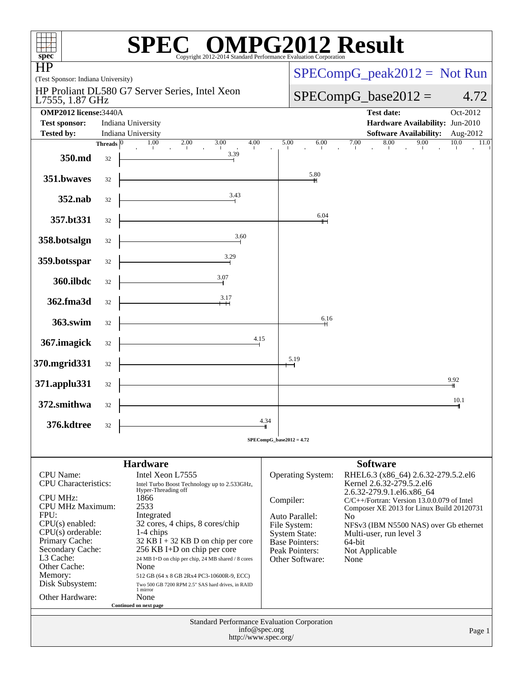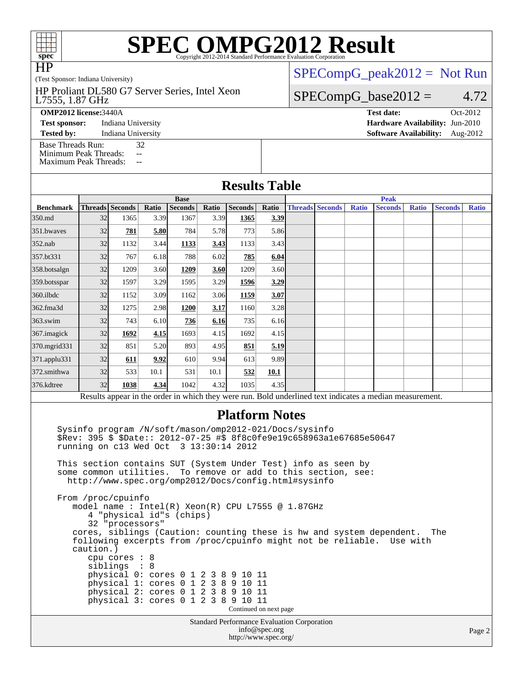# **[SPEC OMPG2012 Result](http://www.spec.org/auto/omp2012/Docs/result-fields.html#SPECOMPG2012Result)**

HP

(Test Sponsor: Indiana University)

#### L7555, 1.87 GHz HP Proliant DL580 G7 Server Series, Intel Xeon

 $SPECompG_peak2012 = Not Run$  $SPECompG_peak2012 = Not Run$ 

### $SPECompG_base2012 = 4.72$  $SPECompG_base2012 = 4.72$

**[OMP2012 license:](http://www.spec.org/auto/omp2012/Docs/result-fields.html#OMP2012license)**3440A **[Test date:](http://www.spec.org/auto/omp2012/Docs/result-fields.html#Testdate)** Oct-2012

**[Test sponsor:](http://www.spec.org/auto/omp2012/Docs/result-fields.html#Testsponsor)** Indiana University **[Hardware Availability:](http://www.spec.org/auto/omp2012/Docs/result-fields.html#HardwareAvailability)** Jun-2010

**[Tested by:](http://www.spec.org/auto/omp2012/Docs/result-fields.html#Testedby)** Indiana University **[Software Availability:](http://www.spec.org/auto/omp2012/Docs/result-fields.html#SoftwareAvailability)** Aug-2012

[Base Threads Run:](http://www.spec.org/auto/omp2012/Docs/result-fields.html#BaseThreadsRun) 32 [Minimum Peak Threads:](http://www.spec.org/auto/omp2012/Docs/result-fields.html#MinimumPeakThreads) --

[Maximum Peak Threads:](http://www.spec.org/auto/omp2012/Docs/result-fields.html#MaximumPeakThreads) --

|                    | <b>Base</b> |                 |       |                |       |                |             | <b>Peak</b> |                        |              |                |              |                |              |
|--------------------|-------------|-----------------|-------|----------------|-------|----------------|-------------|-------------|------------------------|--------------|----------------|--------------|----------------|--------------|
| <b>Benchmark</b>   |             | Threads Seconds | Ratio | <b>Seconds</b> | Ratio | <b>Seconds</b> | Ratio       |             | <b>Threads Seconds</b> | <b>Ratio</b> | <b>Seconds</b> | <b>Ratio</b> | <b>Seconds</b> | <b>Ratio</b> |
| 350.md             | 32          | 1365            | 3.39  | 1367           | 3.39  | 1365           | 3.39        |             |                        |              |                |              |                |              |
| 351.bwaves         | 32          | 781             | 5.80  | 784            | 5.78  | 773            | 5.86        |             |                        |              |                |              |                |              |
| $352$ .nab         | 32          | 1132            | 3.44  | 1133           | 3.43  | 1133           | 3.43        |             |                        |              |                |              |                |              |
| 357.bt331          | 32          | 767             | 6.18  | 788            | 6.02  | 785            | 6.04        |             |                        |              |                |              |                |              |
| 358.botsalgn       | 32          | 1209            | 3.60  | 1209           | 3.60  | 1209           | 3.60        |             |                        |              |                |              |                |              |
| 359.botsspar       | 32          | 1597            | 3.29  | 1595           | 3.29  | 1596           | 3.29        |             |                        |              |                |              |                |              |
| $360$ .ilbdc       | 32          | 1152            | 3.09  | 1162           | 3.06  | 1159           | 3.07        |             |                        |              |                |              |                |              |
| 362.fma3d          | 32          | 1275            | 2.98  | 1200           | 3.17  | 1160           | 3.28        |             |                        |              |                |              |                |              |
| $363$ .swim        | 32          | 743             | 6.10  | 736            | 6.16  | 735            | 6.16        |             |                        |              |                |              |                |              |
| 367.imagick        | 32          | 1692            | 4.15  | 1693           | 4.15  | 1692           | 4.15        |             |                        |              |                |              |                |              |
| 370.mgrid331       | 32          | 851             | 5.20  | 893            | 4.95  | 851            | <u>5.19</u> |             |                        |              |                |              |                |              |
| $371$ .applu $331$ | 32          | 611             | 9.92  | 610            | 9.94  | 613            | 9.89        |             |                        |              |                |              |                |              |
| 372.smithwa        | 32          | 533             | 10.1  | 531            | 10.1  | 532            | 10.1        |             |                        |              |                |              |                |              |
| 376.kdtree         | 32          | 1038            | 4.34  | 1042           | 4.32  | 1035           | 4.35        |             |                        |              |                |              |                |              |

Results appear in the [order in which they were run.](http://www.spec.org/auto/omp2012/Docs/result-fields.html#RunOrder) Bold underlined text [indicates a median measurement.](http://www.spec.org/auto/omp2012/Docs/result-fields.html#Median)

### **[Platform Notes](http://www.spec.org/auto/omp2012/Docs/result-fields.html#PlatformNotes)**

 Sysinfo program /N/soft/mason/omp2012-021/Docs/sysinfo \$Rev: 395 \$ \$Date:: 2012-07-25 #\$ 8f8c0fe9e19c658963a1e67685e50647 running on c13 Wed Oct 3 13:30:14 2012

 This section contains SUT (System Under Test) info as seen by some common utilities. To remove or add to this section, see: <http://www.spec.org/omp2012/Docs/config.html#sysinfo>

 From /proc/cpuinfo model name : Intel(R) Xeon(R) CPU L7555 @ 1.87GHz 4 "physical id"s (chips) 32 "processors" cores, siblings (Caution: counting these is hw and system dependent. The following excerpts from /proc/cpuinfo might not be reliable. Use with caution.) cpu cores : 8 siblings : 8 physical 0: cores 0 1 2 3 8 9 10 11 physical 1: cores 0 1 2 3 8 9 10 11 physical 2: cores 0 1 2 3 8 9 10 11 physical 3: cores 0 1 2 3 8 9 10 11 Continued on next page

Standard Performance Evaluation Corporation [info@spec.org](mailto:info@spec.org) <http://www.spec.org/>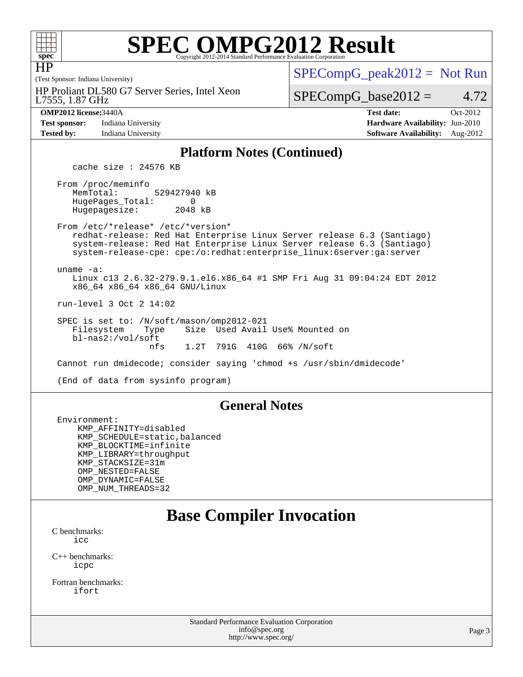

## **[SPEC OMPG2012 Result](http://www.spec.org/auto/omp2012/Docs/result-fields.html#SPECOMPG2012Result)**

(Test Sponsor: Indiana University) HP

 $SPECompG_peak2012 = Not Run$  $SPECompG_peak2012 = Not Run$ 

L7555, 1.87 GHz HP Proliant DL580 G7 Server Series, Intel Xeon

 $SPECompG_base2012 = 4.72$  $SPECompG_base2012 = 4.72$ 

**[Test sponsor:](http://www.spec.org/auto/omp2012/Docs/result-fields.html#Testsponsor)** Indiana University **[Hardware Availability:](http://www.spec.org/auto/omp2012/Docs/result-fields.html#HardwareAvailability)** Jun-2010 **[Tested by:](http://www.spec.org/auto/omp2012/Docs/result-fields.html#Testedby)** Indiana University **[Software Availability:](http://www.spec.org/auto/omp2012/Docs/result-fields.html#SoftwareAvailability)** Aug-2012

**[OMP2012 license:](http://www.spec.org/auto/omp2012/Docs/result-fields.html#OMP2012license)**3440A **[Test date:](http://www.spec.org/auto/omp2012/Docs/result-fields.html#Testdate)** Oct-2012

### **[Platform Notes \(Continued\)](http://www.spec.org/auto/omp2012/Docs/result-fields.html#PlatformNotes)**

cache size : 24576 KB

 From /proc/meminfo MemTotal: 529427940 kB<br>HugePages Total: 0 HugePages\_Total: 0<br>Hugepagesize: 2048 kB Hugepagesize:

 From /etc/\*release\* /etc/\*version\* redhat-release: Red Hat Enterprise Linux Server release 6.3 (Santiago) system-release: Red Hat Enterprise Linux Server release 6.3 (Santiago)

system-release-cpe: cpe:/o:redhat:enterprise\_linux:6server:ga:server

uname -a:

 Linux c13 2.6.32-279.9.1.el6.x86\_64 #1 SMP Fri Aug 31 09:04:24 EDT 2012 x86\_64 x86\_64 x86\_64 GNU/Linux

run-level 3 Oct 2 14:02

 SPEC is set to: /N/soft/mason/omp2012-021 Type Size Used Avail Use% Mounted on bl-nas2:/vol/soft nfs 1.2T 791G 410G 66% /N/soft

Cannot run dmidecode; consider saying 'chmod +s /usr/sbin/dmidecode'

(End of data from sysinfo program)

### **[General Notes](http://www.spec.org/auto/omp2012/Docs/result-fields.html#GeneralNotes)**

 Environment: KMP\_AFFINITY=disabled KMP\_SCHEDULE=static,balanced KMP\_BLOCKTIME=infinite KMP\_LIBRARY=throughput KMP\_STACKSIZE=31m OMP\_NESTED=FALSE OMP\_DYNAMIC=FALSE OMP\_NUM\_THREADS=32

### **[Base Compiler Invocation](http://www.spec.org/auto/omp2012/Docs/result-fields.html#BaseCompilerInvocation)**

[C benchmarks](http://www.spec.org/auto/omp2012/Docs/result-fields.html#Cbenchmarks): [icc](http://www.spec.org/omp2012/results/res2012q4/omp2012-20121004-00014.flags.html#user_CCbase_intel_icc_a87c68a857bc5ec5362391a49d3a37a6)

[C++ benchmarks:](http://www.spec.org/auto/omp2012/Docs/result-fields.html#CXXbenchmarks) [icpc](http://www.spec.org/omp2012/results/res2012q4/omp2012-20121004-00014.flags.html#user_CXXbase_intel_icpc_2d899f8d163502b12eb4a60069f80c1c)

[Fortran benchmarks](http://www.spec.org/auto/omp2012/Docs/result-fields.html#Fortranbenchmarks): [ifort](http://www.spec.org/omp2012/results/res2012q4/omp2012-20121004-00014.flags.html#user_FCbase_intel_ifort_8a5e5e06b19a251bdeaf8fdab5d62f20)